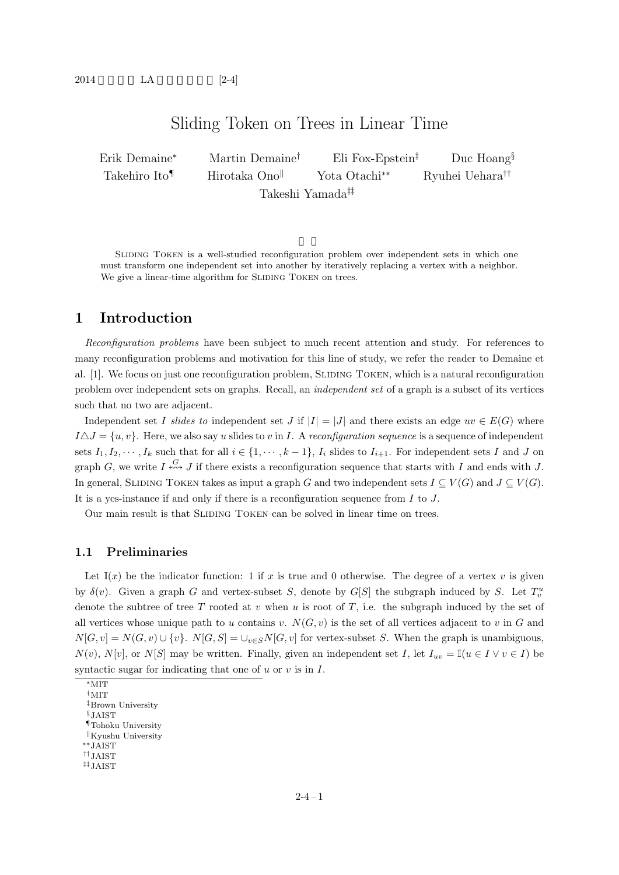# Sliding Token on Trees in Linear Time

Erik Demaine*<sup>∗</sup>* Martin Demaine*†* Eli Fox-Epstein*‡* Duc Hoang*§* Takehiro Ito*¶* Hirotaka Ono*<sup>k</sup>* Yota Otachi*∗∗* Ryuhei Uehara*††* Takeshi Yamada*‡‡*

SLIDING TOKEN is a well-studied reconfiguration problem over independent sets in which one must transform one independent set into another by iteratively replacing a vertex with a neighbor. We give a linear-time algorithm for SLIDING TOKEN on trees.

# **1 Introduction**

*Reconfiguration problems* have been subject to much recent attention and study. For references to many reconfiguration problems and motivation for this line of study, we refer the reader to Demaine et al. [1]. We focus on just one reconfiguration problem, SLIDING TOKEN, which is a natural reconfiguration problem over independent sets on graphs. Recall, an *independent set* of a graph is a subset of its vertices such that no two are adjacent.

Independent set *I* slides to independent set *J* if  $|I| = |J|$  and there exists an edge  $uv \in E(G)$  where  $I \Delta J = \{u, v\}$ . Here, we also say *u* slides to *v* in *I*. A *reconfiguration sequence* is a sequence of independent sets  $I_1, I_2, \dots, I_k$  such that for all  $i \in \{1, \dots, k-1\}$ ,  $I_i$  slides to  $I_{i+1}$ . For independent sets I and J on graph *G*, we write *I*  $\stackrel{G}{\longleftrightarrow}$  *J* if there exists a reconfiguration sequence that starts with *I* and ends with *J*. In general, SLIDING TOKEN takes as input a graph *G* and two independent sets  $I \subseteq V(G)$  and  $J \subseteq V(G)$ . It is a yes-instance if and only if there is a reconfiguration sequence from *I* to *J*.

Our main result is that SLIDING TOKEN can be solved in linear time on trees.

#### **1.1 Preliminaries**

Let  $\mathbb{I}(x)$  be the indicator function: 1 if x is true and 0 otherwise. The degree of a vertex v is given by  $\delta(v)$ . Given a graph *G* and vertex-subset *S*, denote by *G*[*S*] the subgraph induced by *S*. Let  $T_v^u$ denote the subtree of tree *T* rooted at *v* when *u* is root of *T*, i.e. the subgraph induced by the set of all vertices whose unique path to *u* contains *v*.  $N(G, v)$  is the set of all vertices adjacent to *v* in *G* and  $N[G, v] = N(G, v) \cup \{v\}$ .  $N[G, S] = \bigcup_{v \in S} N[G, v]$  for vertex-subset *S*. When the graph is unambiguous, *N*(*v*), *N*[*v*], or *N*[*S*] may be written. Finally, given an independent set *I*, let  $I_{uv} = \mathbb{I}(u \in I \vee v \in I)$  be syntactic sugar for indicating that one of *u* or *v* is in *I*.

*∗*MIT *†*MIT *‡*Brown University *§*JAIST *¶*Tohoku University *k*Kyushu University *∗∗*JAIST *††*JAIST *‡‡*JAIST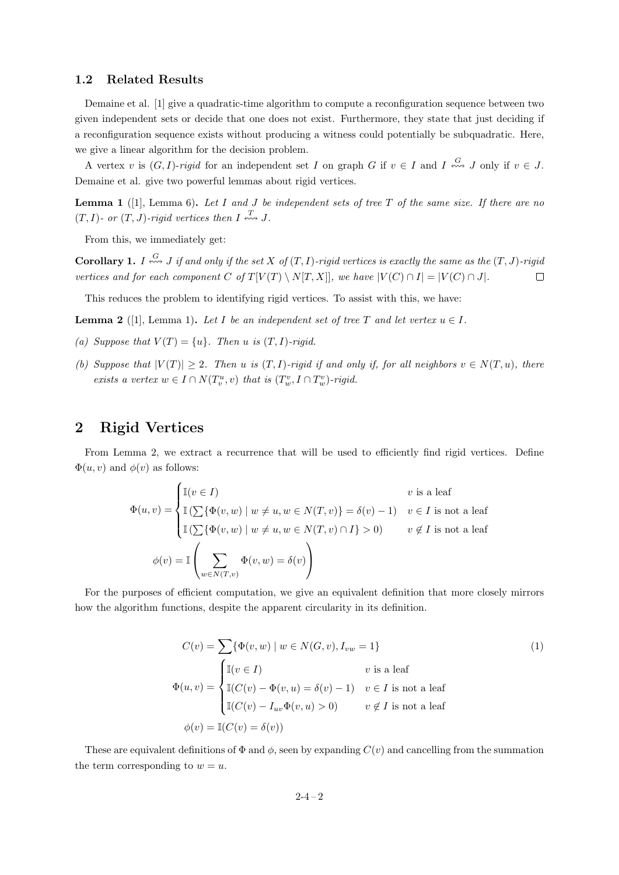#### **1.2 Related Results**

Demaine et al. [1] give a quadratic-time algorithm to compute a reconfiguration sequence between two given independent sets or decide that one does not exist. Furthermore, they state that just deciding if a reconfiguration sequence exists without producing a witness could potentially be subquadratic. Here, we give a linear algorithm for the decision problem.

A vertex *v* is  $(G, I)$ -*rigid* for an independent set *I* on graph *G* if  $v \in I$  and  $I \stackrel{G}{\iff} J$  only if  $v \in J$ . Demaine et al. give two powerful lemmas about rigid vertices.

**Lemma 1** ([1], Lemma 6)**.** *Let I and J be independent sets of tree T of the same size. If there are no*  $(T, I)$ - or  $(T, J)$ -rigid vertices then  $I \stackrel{T}{\longleftrightarrow} J$ .

From this, we immediately get:

**Corollary 1.** *I*  $\stackrel{G}{\longleftrightarrow}$  *J if and only if the set X of*  $(T, I)$ *-rigid vertices is exactly the same as the*  $(T, J)$ *-rigid* vertices and for each component C of  $T[V(T) \setminus N[T, X]],$  we have  $|V(C) \cap I| = |V(C) \cap J|.$  $\Box$ 

This reduces the problem to identifying rigid vertices. To assist with this, we have:

**Lemma 2** ([1], Lemma 1). Let *I* be an independent set of tree *T* and let vertex  $u \in I$ .

- *(a)* Suppose that  $V(T) = \{u\}$ . Then *u is*  $(T, I)$ *-rigid.*
- *(b)* Suppose that  $|V(T)| \geq 2$ . Then *u* is  $(T, I)$ -rigid if and only if, for all neighbors  $v \in N(T, u)$ , there *exists a vertex*  $w \in I \cap N(T_v^u, v)$  *that is*  $(T_w^v, I \cap T_w^v)$ *-rigid.*

### **2 Rigid Vertices**

From Lemma 2, we extract a recurrence that will be used to efficiently find rigid vertices. Define  $\Phi(u, v)$  and  $\phi(v)$  as follows:

$$
\Phi(u,v) = \begin{cases}\n\mathbb{I}(v \in I) & v \text{ is a leaf} \\
\mathbb{I}(\sum {\Phi(v, w) \mid w \neq u, w \in N(T, v)} = \delta(v) - 1) & v \in I \text{ is not a leaf} \\
\mathbb{I}(\sum {\Phi(v, w) \mid w \neq u, w \in N(T, v) \cap I} > 0) & v \notin I \text{ is not a leaf} \\
\phi(v) = \mathbb{I} \left( \sum_{w \in N(T, v)} \Phi(v, w) = \delta(v) \right)\n\end{cases}
$$

For the purposes of efficient computation, we give an equivalent definition that more closely mirrors how the algorithm functions, despite the apparent circularity in its definition.

$$
C(v) = \sum \{\Phi(v, w) \mid w \in N(G, v), I_{vw} = 1\}
$$
  
\n
$$
\Phi(u, v) = \begin{cases}\n\mathbb{I}(v \in I) & v \text{ is a leaf} \\
\mathbb{I}(C(v) - \Phi(v, u) = \delta(v) - 1) & v \in I \text{ is not a leaf} \\
\mathbb{I}(C(v) - I_{uv}\Phi(v, u) > 0) & v \notin I \text{ is not a leaf} \\
\phi(v) = \mathbb{I}(C(v) = \delta(v))\n\end{cases}
$$
\n(1)

These are equivalent definitions of  $\Phi$  and  $\phi$ , seen by expanding  $C(v)$  and cancelling from the summation the term corresponding to  $w = u$ .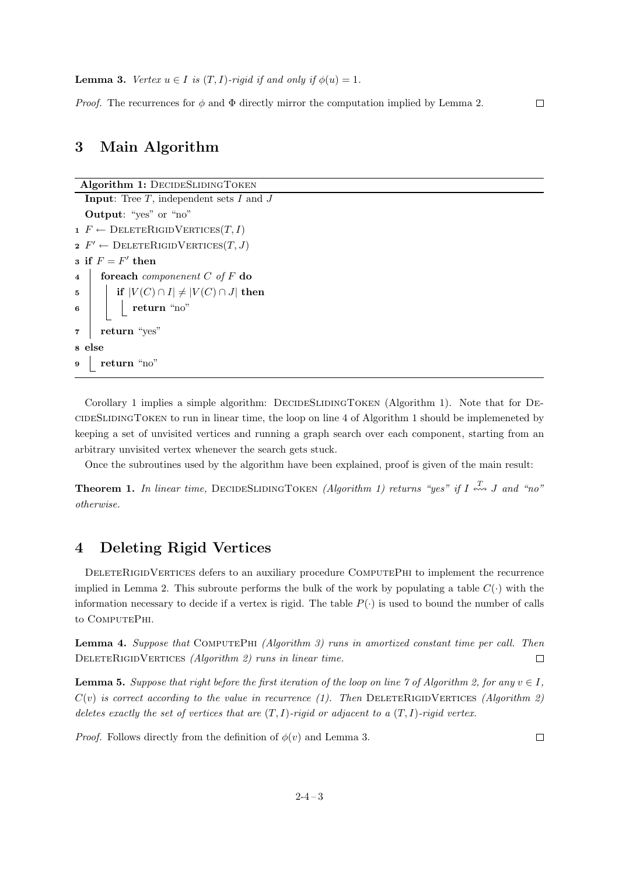*Proof.* The recurrences for  $\phi$  and  $\Phi$  directly mirror the computation implied by Lemma 2.

### **3 Main Algorithm**

```
Algorithm 1: DECIDESLIDINGTOKEN
  Input: Tree T, independent sets I and J
  Output: "yes" or "no"
1 F \leftarrow DELETERIGIDVERTICES(T, I)2 F' \leftarrow \text{DELETERIGIDVERTICES}(T, J)\mathbf{s} if F = F' then
4 foreach componenent C of F do
5 if |V(C) \cap I| \neq |V(C) \cap J| then
6 return "no"
7 return "yes"
8 else
9 return "no"
```
Corollary 1 implies a simple algorithm: DECIDESLIDINGTOKEN (Algorithm 1). Note that for DEcideSlidingToken to run in linear time, the loop on line 4 of Algorithm 1 should be implemeneted by keeping a set of unvisited vertices and running a graph search over each component, starting from an arbitrary unvisited vertex whenever the search gets stuck.

Once the subroutines used by the algorithm have been explained, proof is given of the main result:

**Theorem 1.** In linear time, DECIDESLIDINGTOKEN *(Algorithm 1) returns "yes" if*  $I \stackrel{T}{\longleftrightarrow} J$  and "no" *otherwise.*

# **4 Deleting Rigid Vertices**

DELETERIGIDVERTICES defers to an auxiliary procedure COMPUTEPHI to implement the recurrence implied in Lemma 2. This subroute performs the bulk of the work by populating a table  $C(\cdot)$  with the information necessary to decide if a vertex is rigid. The table  $P(\cdot)$  is used to bound the number of calls to COMPUTEPHI.

**Lemma 4.** *Suppose that* ComputePhi *(Algorithm 3) runs in amortized constant time per call. Then* DELETERIGIDVERTICES *(Algorithm 2) runs in linear time.*  $\Box$ 

**Lemma 5.** *Suppose that right before the first iteration of the loop on line 7 of Algorithm 2, for any*  $v \in I$ ,  $C(v)$  *is correct according to the value in recurrence (1). Then* DELETERIGIDVERTICES *(Algorithm 2) deletes exactly the set of vertices that are* (*T, I*)*-rigid or adjacent to a* (*T, I*)*-rigid vertex.*

*Proof.* Follows directly from the definition of  $\phi(v)$  and Lemma 3.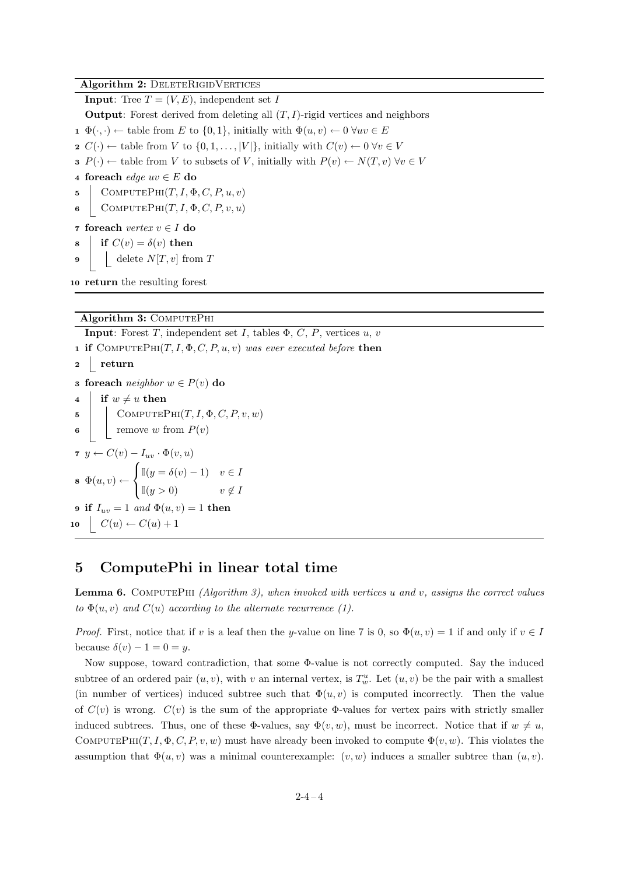**Algorithm 2: DELETERIGIDVERTICES** 

**Input**: Tree  $T = (V, E)$ , independent set *I* 

**Output**: Forest derived from deleting all (*T, I*)-rigid vertices and neighbors

- **1**  $\Phi(\cdot, \cdot) \leftarrow$  table from *E* to {0, 1}, initially with  $\Phi(u, v) \leftarrow 0 \ \forall uv \in E$
- **2**  $C(\cdot) \leftarrow$  table from *V* to  $\{0, 1, \ldots, |V|\}$ , initially with  $C(v) \leftarrow 0 \ \forall v \in V$
- **3**  $P(\cdot)$  ← table from *V* to subsets of *V*, initially with  $P(v)$  ←  $N(T, v)$   $\forall v \in V$
- **<sup>4</sup> foreach** *edge uv ∈ E* **do**
- **5** COMPUTEPHI $(T, I, \Phi, C, P, u, v)$
- **6** COMPUTEPHI $(T, I, \Phi, C, P, v, u)$
- **<sup>7</sup> foreach** *vertex v ∈ I* **do**
- **if**  $C(v) = \delta(v)$  **then**
- **9** delete  $N[T, v]$  from  $T$

**<sup>10</sup> return** the resulting forest

#### **Algorithm 3: COMPUTEPHI**

**Input**: Forest *T*, independent set *I*, tables  $\Phi$ , *C*, *P*, vertices *u*, *v* **1 if** COMPUTEPHI $(T, I, \Phi, C, P, u, v)$  *was ever executed before* **then <sup>2</sup> return <sup>3</sup> foreach** *neighbor w ∈ P*(*v*) **do** 4 **if**  $w \neq u$  **then 5** COMPUTEPHI $(T, I, \Phi, C, P, v, w)$ **6**  $\vert$  remove *w* from  $P(v)$ **<sup>7</sup>** *y ← C*(*v*) *− Iuv ·* Φ(*v, u*)  $\mathbf{s} \ \Phi(u,v) \leftarrow$  $\sqrt{ }$ Į  $\mathcal{L}$ I(*y* = *δ*(*v*) *−* 1) *v ∈ I*  $\mathbb{I}(y > 0)$   $v \notin I$ **9 if**  $I_{uv} = 1$  *and*  $\Phi(u, v) = 1$  **then**  $10 \quad C(u) \leftarrow C(u) + 1$ 

### **5 ComputePhi in linear total time**

**Lemma 6.** ComputePhi *(Algorithm 3), when invoked with vertices u and v, assigns the correct values to*  $\Phi(u, v)$  *and*  $C(u)$  *according to the alternate recurrence* (1).

*Proof.* First, notice that if *v* is a leaf then the *y*-value on line 7 is 0, so  $\Phi(u, v) = 1$  if and only if  $v \in I$ because  $\delta(v) - 1 = 0 = y$ .

Now suppose, toward contradiction, that some Φ-value is not correctly computed. Say the induced subtree of an ordered pair  $(u, v)$ , with *v* an internal vertex, is  $T_w^u$ . Let  $(u, v)$  be the pair with a smallest (in number of vertices) induced subtree such that  $\Phi(u, v)$  is computed incorrectly. Then the value of  $C(v)$  is wrong.  $C(v)$  is the sum of the appropriate  $\Phi$ -values for vertex pairs with strictly smaller induced subtrees. Thus, one of these  $\Phi$ -values, say  $\Phi(v, w)$ , must be incorrect. Notice that if  $w \neq u$ , COMPUTEPHI $(T, I, \Phi, C, P, v, w)$  must have already been invoked to compute  $\Phi(v, w)$ . This violates the assumption that  $\Phi(u, v)$  was a minimal counterexample:  $(v, w)$  induces a smaller subtree than  $(u, v)$ .